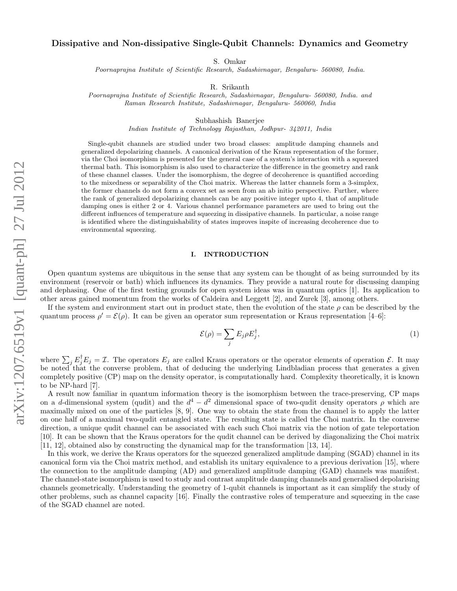# Dissipative and Non-dissipative Single-Qubit Channels: Dynamics and Geometry

S. Omkar

Poornaprajna Institute of Scientific Research, Sadashivnagar, Bengaluru- 560080, India.

R. Srikanth

Poornaprajna Institute of Scientific Research, Sadashivnagar, Bengaluru- 560080, India. and Raman Research Institute, Sadashivnagar, Bengaluru- 560060, India

Subhashish Banerjee

Indian Institute of Technology Rajasthan, Jodhpur- 342011, India

Single-qubit channels are studied under two broad classes: amplitude damping channels and generalized depolarizing channels. A canonical derivation of the Kraus representation of the former, via the Choi isomorphism is presented for the general case of a system's interaction with a squeezed thermal bath. This isomorphism is also used to characterize the difference in the geometry and rank of these channel classes. Under the isomorphism, the degree of decoherence is quantified according to the mixedness or separability of the Choi matrix. Whereas the latter channels form a 3-simplex, the former channels do not form a convex set as seen from an ab initio perspective. Further, where the rank of generalized depolarizing channels can be any positive integer upto 4, that of amplitude damping ones is either 2 or 4. Various channel performance parameters are used to bring out the different influences of temperature and squeezing in dissipative channels. In particular, a noise range is identified where the distinguishability of states improves inspite of increasing decoherence due to environmental squeezing.

### I. INTRODUCTION

Open quantum systems are ubiquitous in the sense that any system can be thought of as being surrounded by its environment (reservoir or bath) which influences its dynamics. They provide a natural route for discussing damping and dephasing. One of the first testing grounds for open system ideas was in quantum optics [1]. Its application to other areas gained momentum from the works of Caldeira and Leggett [2], and Zurek [3], among others.

If the system and environment start out in product state, then the evolution of the state  $\rho$  can be described by the quantum process  $\rho' = \mathcal{E}(\rho)$ . It can be given an operator sum representation or Kraus representation [4–6]:

$$
\mathcal{E}(\rho) = \sum_{j} E_j \rho E_j^{\dagger},\tag{1}
$$

where  $\sum_j E_j^{\dagger} E_j = \mathcal{I}$ . The operators  $E_j$  are called Kraus operators or the operator elements of operation  $\mathcal{E}$ . It may be noted that the converse problem, that of deducing the underlying Lindbladian process that generates a given completely positive (CP) map on the density operator, is computationally hard. Complexity theoretically, it is known to be NP-hard [7].

A result now familiar in quantum information theory is the isomorphism between the trace-preserving, CP maps on a d-dimensional system (qudit) and the  $d^4 - d^2$  dimensional space of two-qudit density operators  $\rho$  which are maximally mixed on one of the particles [8, 9]. One way to obtain the state from the channel is to apply the latter on one half of a maximal two-qudit entangled state. The resulting state is called the Choi matrix. In the converse direction, a unique qudit channel can be associated with each such Choi matrix via the notion of gate teleportation [10]. It can be shown that the Kraus operators for the qudit channel can be derived by diagonalizing the Choi matrix [11, 12], obtained also by constructing the dynamical map for the transformation [13, 14].

In this work, we derive the Kraus operators for the squeezed generalized amplitude damping (SGAD) channel in its canonical form via the Choi matrix method, and establish its unitary equivalence to a previous derivation [15], where the connection to the amplitude damping (AD) and generalized amplitude damping (GAD) channels was manifest. The channel-state isomorphism is used to study and contrast amplitude damping channels and generalised depolarising channels geometrically. Understanding the geometry of 1-qubit channels is important as it can simplify the study of other problems, such as channel capacity [16]. Finally the contrastive roles of temperature and squeezing in the case of the SGAD channel are noted.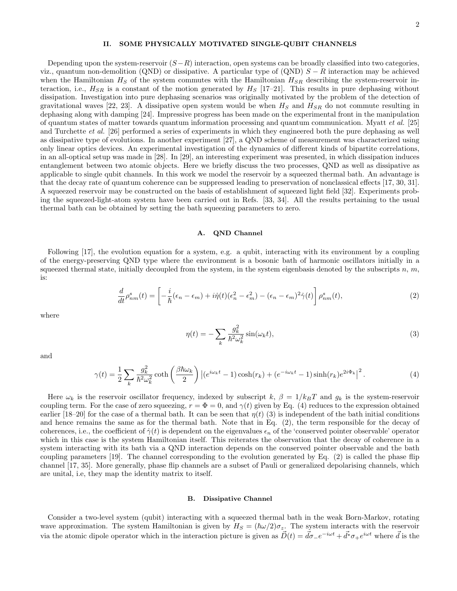### II. SOME PHYSICALLY MOTIVATED SINGLE-QUBIT CHANNELS

Depending upon the system-reservoir  $(S-R)$  interaction, open systems can be broadly classified into two categories, viz., quantum non-demolition (QND) or dissipative. A particular type of (QND)  $S - R$  interaction may be achieved when the Hamiltonian  $H<sub>S</sub>$  of the system commutes with the Hamiltonian  $H<sub>SR</sub>$  describing the system-reservoir interaction, i.e.,  $H_{SR}$  is a constant of the motion generated by  $H_S$  [17–21]. This results in pure dephasing without dissipation. Investigation into pure dephasing scenarios was originally motivated by the problem of the detection of gravitational waves [22, 23]. A dissipative open system would be when  $H<sub>S</sub>$  and  $H<sub>SR</sub>$  do not commute resulting in dephasing along with damping [24]. Impressive progress has been made on the experimental front in the manipulation of quantum states of matter towards quantum information processing and quantum communication. Myatt et al. [25] and Turchette et al. [26] performed a series of experiments in which they engineered both the pure dephasing as well as dissipative type of evolutions. In another experiment [27], a QND scheme of measurement was characterized using only linear optics devices. An experimental investigation of the dynamics of different kinds of bipartite correlations, in an all-optical setup was made in [28]. In [29], an interesting experiment was presented, in which dissipation induces entanglement between two atomic objects. Here we briefly discuss the two processes, QND as well as dissipative as applicable to single qubit channels. In this work we model the reservoir by a squeezed thermal bath. An advantage is that the decay rate of quantum coherence can be suppressed leading to preservation of nonclassical effects [17, 30, 31]. A squeezed reservoir may be constructed on the basis of establishment of squeezed light field [32]. Experiments probing the squeezed-light-atom system have been carried out in Refs. [33, 34]. All the results pertaining to the usual thermal bath can be obtained by setting the bath squeezing parameters to zero.

### A. QND Channel

Following [17], the evolution equation for a system, e.g. a qubit, interacting with its environment by a coupling of the energy-preserving QND type where the environment is a bosonic bath of harmonic oscillators initially in a squeezed thermal state, initially decoupled from the system, in the system eigenbasis denoted by the subscripts  $n, m$ , is:

$$
\frac{d}{dt}\rho_{nm}^s(t) = \left[ -\frac{i}{\hbar}(\epsilon_n - \epsilon_m) + i\dot{\eta}(t)(\epsilon_n^2 - \epsilon_m^2) - (\epsilon_n - \epsilon_m)^2 \dot{\gamma}(t) \right] \rho_{nm}^s(t),\tag{2}
$$

where

$$
\eta(t) = -\sum_{k} \frac{g_k^2}{\hbar^2 \omega_k^2} \sin(\omega_k t),\tag{3}
$$

and

$$
\gamma(t) = \frac{1}{2} \sum_{k} \frac{g_k^2}{\hbar^2 \omega_k^2} \coth\left(\frac{\beta \hbar \omega_k}{2}\right) \left| (e^{i\omega_k t} - 1) \cosh(r_k) + (e^{-i\omega_k t} - 1) \sinh(r_k) e^{2i\Phi_k} \right|^2.
$$
 (4)

Here  $\omega_k$  is the reservoir oscillator frequency, indexed by subscript k,  $\beta = 1/k_BT$  and  $g_k$  is the system-reservoir coupling term. For the case of zero squeezing,  $r = \Phi = 0$ , and  $\gamma(t)$  given by Eq. (4) reduces to the expression obtained earlier [18–20] for the case of a thermal bath. It can be seen that  $\eta(t)$  (3) is independent of the bath initial conditions and hence remains the same as for the thermal bath. Note that in Eq. (2), the term responsible for the decay of coherences, i.e., the coefficient of  $\dot{\gamma}(t)$  is dependent on the eigenvalues  $\epsilon_n$  of the 'conserved pointer observable' operator which in this case is the system Hamiltonian itself. This reiterates the observation that the decay of coherence in a system interacting with its bath via a QND interaction depends on the conserved pointer observable and the bath coupling parameters [19]. The channel corresponding to the evolution generated by Eq. (2) is called the phase flip channel [17, 35]. More generally, phase flip channels are a subset of Pauli or generalized depolarising channels, which are unital, i.e, they map the identity matrix to itself.

#### B. Dissipative Channel

Consider a two-level system (qubit) interacting with a squeezed thermal bath in the weak Born-Markov, rotating wave approximation. The system Hamiltonian is given by  $H_S = (\hbar \omega/2)\sigma_z$ . The system interacts with the reservoir via the atomic dipole operator which in the interaction picture is given as  $\vec{D}(t) = \vec{d}\sigma_- e^{-i\omega t} + \vec{d}^* \sigma_+ e^{i\omega t}$  where  $\vec{d}$  is the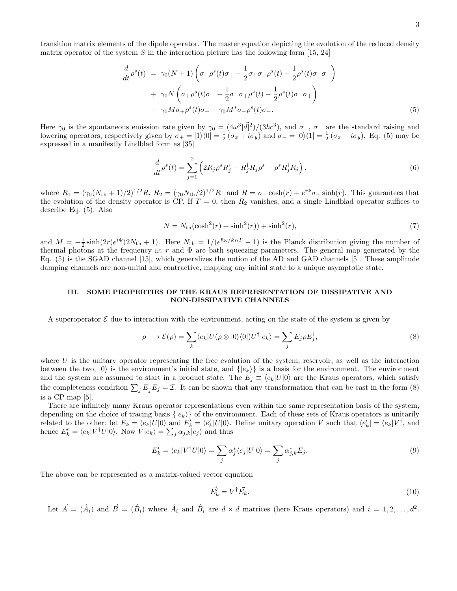transition matrix elements of the dipole operator. The master equation depicting the evolution of the reduced density matrix operator of the system  $S$  in the interaction picture has the following form [15, 24]

$$
\frac{d}{dt}\rho^{s}(t) = \gamma_{0}(N+1)\left(\sigma_{-}\rho^{s}(t)\sigma_{+} - \frac{1}{2}\sigma_{+}\sigma_{-}\rho^{s}(t) - \frac{1}{2}\rho^{s}(t)\sigma_{+}\sigma_{-}\right) \n+ \gamma_{0}N\left(\sigma_{+}\rho^{s}(t)\sigma_{-} - \frac{1}{2}\sigma_{-}\sigma_{+}\rho^{s}(t) - \frac{1}{2}\rho^{s}(t)\sigma_{-}\sigma_{+}\right) \n- \gamma_{0}M\sigma_{+}\rho^{s}(t)\sigma_{+} - \gamma_{0}M^{*}\sigma_{-}\rho^{s}(t)\sigma_{-}.
$$
\n(5)

Here  $\gamma_0$  is the spontaneous emission rate given by  $\gamma_0 = (4\omega^3|\vec{d}|^2)/(3\hbar c^3)$ , and  $\sigma_+$ ,  $\sigma_-$  are the standard raising and lowering operators, respectively given by  $\sigma_+ = |1\rangle\langle 0| = \frac{1}{2}(\sigma_x + i\sigma_y)$  and  $\sigma_- = |0\rangle\langle 1| = \frac{1}{2}(\sigma_x - i\sigma_y)$ . Eq. (5) may be expressed in a manifestly Lindblad form as [35]

$$
\frac{d}{dt}\rho^s(t) = \sum_{j=1}^2 \left( 2R_j \rho^s R_j^\dagger - R_j^\dagger R_j \rho^s - \rho^s R_j^\dagger R_j \right),\tag{6}
$$

where  $R_1 = (\gamma_0 (N_{\text{th}} + 1)/2)^{1/2} R$ ,  $R_2 = (\gamma_0 N_{\text{th}}/2)^{1/2} R^{\dagger}$  and  $R = \sigma_{\text{sc}} \cosh(r) + e^{i\Phi} \sigma_{\text{c}} + \sinh(r)$ . This guarantees that the evolution of the density operator is CP. If  $T = 0$ , then  $R_2$  vanishes, and a single Lindblad operator suffices to describe Eq. (5). Also

$$
N = N_{\rm th}(\cosh^2(r) + \sinh^2(r)) + \sinh^2(r),\tag{7}
$$

and  $M = -\frac{1}{2}\sinh(2r)e^{i\Phi}(2N_{\text{th}} + 1)$ . Here  $N_{\text{th}} = 1/(e^{\hbar\omega/k_B T} - 1)$  is the Planck distribution giving the number of thermal photons at the frequency  $\omega$ ; r and  $\Phi$  are bath squeezing parameters. The general map generated by the Eq. (5) is the SGAD channel [15], which generalizes the notion of the AD and GAD channels [5]. These amplitude damping channels are non-unital and contractive, mapping any initial state to a unique asymptotic state.

## III. SOME PROPERTIES OF THE KRAUS REPRESENTATION OF DISSIPATIVE AND NON-DISSIPATIVE CHANNELS

A superoperator  $\mathcal E$  due to interaction with the environment, acting on the state of the system is given by

$$
\rho \longrightarrow \mathcal{E}(\rho) = \sum_{k} \langle e_k | U(\rho \otimes |0\rangle\langle 0|) U^{\dagger} | e_k \rangle = \sum_{j} E_j \rho E_j^{\dagger}, \tag{8}
$$

where  $U$  is the unitary operator representing the free evolution of the system, reservoir, as well as the interaction between the two,  $|0\rangle$  is the environment's initial state, and  $\{|e_k\rangle\}$  is a basis for the environment. The environment and the system are assumed to start in a product state. The  $E_j \equiv \langle e_k|U|0\rangle$  are the Kraus operators, which satisfy the completeness condition  $\sum_j E_j^{\dagger} E_j = \mathcal{I}$ . It can be shown that any transformation that can be cast in the form (8) is a CP map [5].

There are infinitely many Kraus operator representations even within the same representation basis of the system, depending on the choice of tracing basis  $\{|e_k\rangle\}$  of the environment. Each of these sets of Kraus operators is unitarily related to the other: let  $E_k = \langle e_k | U | 0 \rangle$  and  $E'_k = \langle e'_k | U | 0 \rangle$ . Define unitary operation V such that  $\langle e'_k | = \langle e_k | V^{\dagger}$ , and hence  $E'_{k} = \langle e_{k} | V^{\dagger} U | 0 \rangle$ . Now  $V | e_{k} \rangle = \sum_{j} \alpha_{j,k} | e_{j} \rangle$  and thus

$$
E'_{k} = \langle e_{k} | V^{\dagger} U | 0 \rangle = \sum_{j} \alpha_{j}^{*} \langle e_{j} | U | 0 \rangle = \sum_{j} \alpha_{j,k}^{*} E_{j}.
$$
\n(9)

The above can be represented as a matrix-valued vector equation

$$
\vec{E'_k} = V^\dagger \vec{E_k}.\tag{10}
$$

Let  $\vec{A} = (\hat{A}_i)$  and  $\vec{B} = (\hat{B}_i)$  where  $\hat{A}_i$  and  $\hat{B}_i$  are  $d \times d$  matrices (here Kraus operators) and  $i = 1, 2, ..., d^2$ .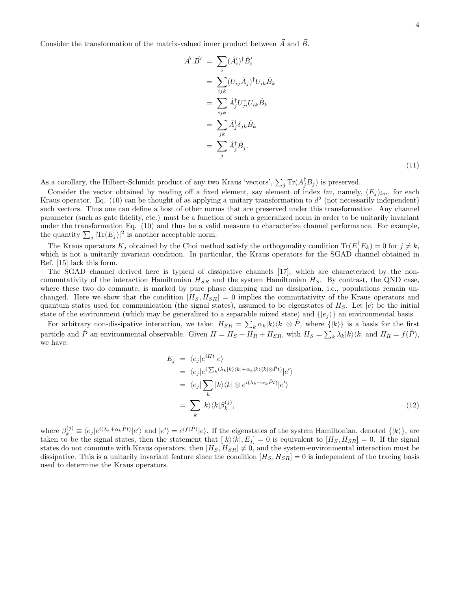Consider the transformation of the matrix-valued inner product between  $\vec{A}$  and  $\vec{B}$ .

$$
\vec{A}' \cdot \vec{B}' = \sum_{i} (\hat{A}'_{i})^{\dagger} \hat{B}'_{i}
$$
\n
$$
= \sum_{ijk} (U_{ij} \hat{A}_{j})^{\dagger} U_{ik} \hat{B}_{k}
$$
\n
$$
= \sum_{ijk} \hat{A}^{\dagger}_{j} U^{*}_{ji} U_{ik} \hat{B}_{k}
$$
\n
$$
= \sum_{jk} \hat{A}^{\dagger}_{j} \delta_{jk} \hat{B}_{k}
$$
\n
$$
= \sum_{j} \hat{A}^{\dagger}_{j} \hat{B}_{j}.
$$
\n(11)

As a corollary, the Hilbert-Schmidt product of any two Kraus 'vectors',  $\sum_j \text{Tr}(A_j^{\dagger}B_j)$  is preserved.

Consider the vector obtained by reading off a fixed element, say element of index lm, namely,  $(E_j)_{lm}$ , for each Kraus operator. Eq. (10) can be thought of as applying a unitary transformation to  $d^2$  (not necessarily independent) such vectors. Thus one can define a host of other norms that are preserved under this transformation. Any channel parameter (such as gate fidelity, etc.) must be a function of such a generalized norm in order to be unitarily invariant under the transformation Eq. (10) and thus be a valid measure to characterize channel performance. For example, the quantity  $\sum_j |\text{Tr}(E_j)|^2$  is another acceptable norm.

The Kraus operators  $K_j$  obtained by the Choi method satisfy the orthogonality condition  $\text{Tr}(E_j^{\dagger}E_k) = 0$  for  $j \neq k$ , which is not a unitarily invariant condition. In particular, the Kraus operators for the SGAD channel obtained in Ref. [15] lack this form.

The SGAD channel derived here is typical of dissipative channels [17], which are characterized by the noncommutativity of the interaction Hamiltonian  $H_{SR}$  and the system Hamiltonian  $H_S$ . By contrast, the QND case, where these two do commute, is marked by pure phase damping and no dissipation, i.e., populations remain unchanged. Here we show that the condition  $[H_S, H_{SR}] = 0$  implies the commutativity of the Kraus operators and quantum states used for communication (the signal states), assumed to be eigenstates of  $H_S$ . Let  $|e\rangle$  be the initial state of the environment (which may be generalized to a separable mixed state) and  $\{e_j\}$  an environmental basis.

For arbitrary non-dissipative interaction, we take:  $H_{SR} = \sum_k \alpha_k |k\rangle\langle k| \otimes \hat{P}$ , where  $\{|k\rangle\}$  is a basis for the first particle and  $\hat{P}$  an environmental observable. Given  $H = H_S + H_{RR} + H_{SR}$ , with  $H_S = \sum_k \lambda_k |k\rangle\langle k|$  and  $H_R = f(\hat{P})$ , we have:

$$
E_j = \langle e_j | e^{iHt} | e \rangle
$$
  
\n
$$
= \langle e_j | e^{i \sum_k (\lambda_k | k \rangle \langle k | + \alpha_k | k \rangle \langle k | \otimes \hat{P} t \rangle} | e' \rangle
$$
  
\n
$$
= \langle e_j | \sum_k | k \rangle \langle k | \otimes e^{i(\lambda_k + \alpha_k \hat{P} t)} | e' \rangle
$$
  
\n
$$
= \sum_k | k \rangle \langle k | \beta_k^{(j)}, \qquad (12)
$$

where  $\beta_k^{(j)} \equiv \langle e_j | e^{i(\lambda_k + \alpha_k \hat{P}t)} | e' \rangle$  and  $| e' \rangle = e^{if(\hat{P})} | e \rangle$ . If the eigenstates of the system Hamiltonian, denoted  $\{| k \rangle\}$ , are taken to be the signal states, then the statement that  $[|k\rangle\langle k|, E_j] = 0$  is equivalent to  $[H_S, H_{SR}] = 0$ . If the signal states do not commute with Kraus operators, then  $[H_S, H_{SR}] \neq 0$ , and the system-environmental interaction must be dissipative. This is a unitarily invariant feature since the condition  $[H_S, H_{SR}] = 0$  is independent of the tracing basis used to determine the Kraus operators.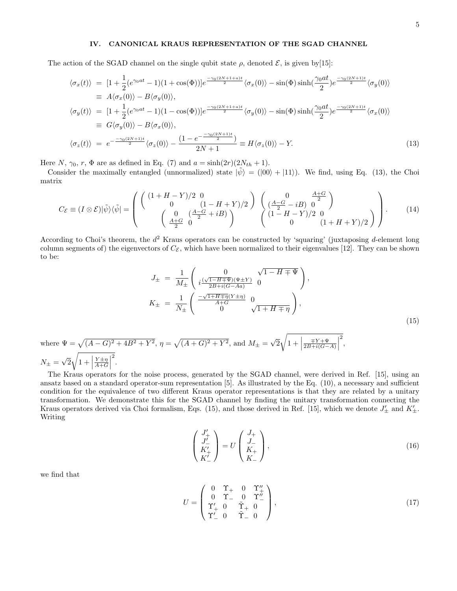## IV. CANONICAL KRAUS REPRESENTATION OF THE SGAD CHANNEL

The action of the SGAD channel on the single qubit state  $\rho$ , denoted  $\mathcal{E}$ , is given by [15]:

$$
\langle \sigma_x(t) \rangle = [1 + \frac{1}{2} (e^{\gamma_0 at} - 1)(1 + \cos(\Phi))] e^{-\frac{\gamma_0 (2N + 1 + a)t}{2}} \langle \sigma_x(0) \rangle - \sin(\Phi) \sinh(\frac{\gamma_0 at}{2}) e^{-\frac{\gamma_0 (2N + 1)t}{2}} \langle \sigma_y(0) \rangle
$$
  
\n
$$
\equiv A \langle \sigma_x(0) \rangle - B \langle \sigma_y(0) \rangle,
$$
  
\n
$$
\langle \sigma_y(t) \rangle = [1 + \frac{1}{2} (e^{\gamma_0 at} - 1)(1 - \cos(\Phi))] e^{-\frac{\gamma_0 (2N + 1 + a)t}{2}} \langle \sigma_y(0) \rangle - \sin(\Phi) \sinh(\frac{\gamma_0 at}{2}) e^{-\frac{\gamma_0 (2N + 1)t}{2}} \langle \sigma_x(0) \rangle
$$
  
\n
$$
\equiv G \langle \sigma_y(0) \rangle - B \langle \sigma_x(0) \rangle,
$$
  
\n
$$
\langle \sigma_z(t) \rangle = e^{-\frac{-\gamma_0 (2N + 1)t}{2}} \langle \sigma_z(0) \rangle - \frac{(1 - e^{-\frac{-\gamma_0 (2N + 1)t}{2}})}{2N + 1} \equiv H \langle \sigma_z(0) \rangle - Y.
$$
 (13)

Here N,  $\gamma_0$ , r,  $\Phi$  are as defined in Eq. (7) and  $a = \sinh(2r)(2N_{th} + 1)$ .

Consider the maximally entangled (unnormalized) state  $|\tilde{\psi}\rangle = (|00\rangle + |11\rangle)$ . We find, using Eq. (13), the Choi matrix

$$
C_{\mathcal{E}} \equiv (I \otimes \mathcal{E}) |\tilde{\psi}\rangle\langle\tilde{\psi}| = \begin{pmatrix} \begin{pmatrix} (1 + H - Y)/2 & 0 \\ 0 & (1 - H + Y)/2 \end{pmatrix} & \begin{pmatrix} 0 & \frac{A + G}{2} \\ \frac{A - G}{2} - iB & 0 \end{pmatrix} \\ \begin{pmatrix} 0 & \frac{A - G}{2} + iB \\ \frac{A + G}{2} & 0 \end{pmatrix} & \begin{pmatrix} \frac{A - G}{2} - iB & 0 \\ (1 - H - Y)/2 & 0 \\ 0 & (1 + H + Y)/2 \end{pmatrix} \end{pmatrix}.
$$
 (14)

According to Choi's theorem, the  $d^2$  Kraus operators can be constructed by 'squaring' (juxtaposing d-element long column segments of) the eigenvectors of  $C_{\mathcal{E}}$ , which have been normalized to their eigenvalues [12]. They can be shown to be:

$$
J_{\pm} = \frac{1}{M_{\pm}} \begin{pmatrix} 0 & \sqrt{1 - H \mp \Psi} \\ i \frac{(\sqrt{1 - H \mp \Psi})(\Psi \pm Y)}{2B + i(G - Aa)} & 0 \end{pmatrix},
$$
  

$$
K_{\pm} = \frac{1}{N_{\pm}} \begin{pmatrix} \frac{-\sqrt{1 + H \mp \eta}(Y \pm \eta)}{A + G} & 0 \\ 0 & \sqrt{1 + H \mp \eta} \end{pmatrix},
$$
(15)

where  $\Psi = \sqrt{(A - G)^2 + 4B^2 + Y^2}$ ,  $\eta = \sqrt{(A + G)^2 + Y^2}$ , and  $M_{\pm} = \sqrt{2}$  $\cdot$  /  $1 + \Big|$  $\frac{\mp Y + \Psi}{2B + i(G-A)}$  $\begin{array}{c} \begin{array}{c} \begin{array}{c} \end{array} \\ \begin{array}{c} \end{array} \end{array} \end{array}$ 2 ,  $N_{\pm}=\sqrt{2}$  $\frac{1}{2}$  $1 + \Big|$  $\frac{Y \pm \eta}{A + G}$ 2 .

The Kraus operators for the noise process, generated by the SGAD channel, were derived in Ref. [15], using an ansatz based on a standard operator-sum representation [5]. As illustrated by the Eq. (10), a necessary and sufficient condition for the equivalence of two different Kraus operator representations is that they are related by a unitary transformation. We demonstrate this for the SGAD channel by finding the unitary transformation connecting the Kraus operators derived via Choi formalism, Eqs. (15), and those derived in Ref. [15], which we denote  $J'_{\pm}$  and  $K'_{\pm}$ . Writing

$$
\begin{pmatrix} J'_{+} \\ J'_{-} \\ K'_{+} \\ K'_{-} \end{pmatrix} = U \begin{pmatrix} J_{+} \\ J_{-} \\ K_{+} \\ K_{-} \end{pmatrix},
$$
\n(16)

we find that

$$
U = \begin{pmatrix} 0 & \Upsilon_{+} & 0 & \Upsilon_{+}^{\prime\prime} \\ 0 & \Upsilon_{-} & 0 & \Upsilon_{-}^{\prime\prime} \\ \Upsilon_{+}^{\prime} & 0 & \tilde{\Upsilon}_{+} & 0 \\ \Upsilon_{-}^{\prime} & 0 & \tilde{\Upsilon}_{-} & 0 \end{pmatrix},
$$
(17)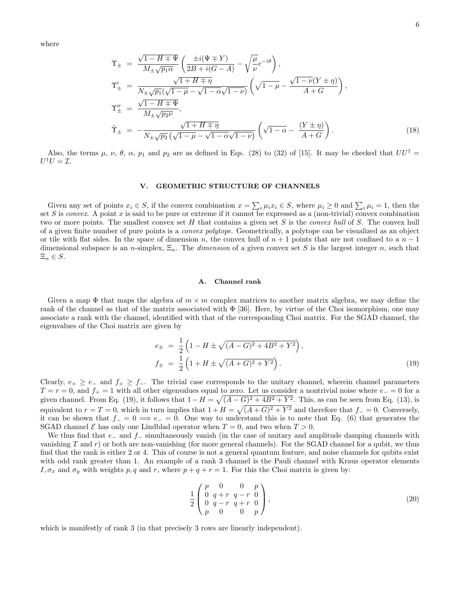where

$$
\begin{split}\n\Upsilon_{\pm} &= \frac{\sqrt{1 - H \mp \Psi}}{M_{\pm}\sqrt{p_{1}\alpha}} \left( \frac{\pm i(\Psi \mp Y)}{2B + i(G - A)} - \sqrt{\frac{\mu}{\nu}} e^{-i\theta} \right), \\
\Upsilon'_{\pm} &= \frac{\sqrt{1 + H \mp \eta}}{N_{\pm}\sqrt{p_{1}}(\sqrt{1 - \mu} - \sqrt{1 - \alpha}\sqrt{1 - \nu})} \left( \sqrt{1 - \mu} - \frac{\sqrt{1 - \nu}(Y \pm \eta)}{A + G} \right), \\
\Upsilon''_{\pm} &= \frac{\sqrt{1 - H \mp \Psi}}{M_{\pm}\sqrt{p_{2}\nu}}, \\
\tilde{\Upsilon}_{\pm} &= -\frac{\sqrt{1 + H \mp \eta}}{N_{\pm}\sqrt{p_{2}}\left( \sqrt{1 - \mu} - \sqrt{1 - \alpha}\sqrt{1 - \nu} \right)} \left( \sqrt{1 - \alpha} - \frac{(Y \pm \eta)}{A + G} \right).\n\end{split} \tag{18}
$$

Also, the terms  $\mu$ ,  $\nu$ ,  $\theta$ ,  $\alpha$ ,  $p_1$  and  $p_2$  are as defined in Eqs. (28) to (32) of [15]. It may be checked that  $UU^{\dagger}$  $U^{\dagger}U=\mathcal{I}.$ 

### V. GEOMETRIC STRUCTURE OF CHANNELS

Given any set of points  $x_i \in S$ , if the convex combination  $x = \sum_i \mu_i x_i \in S$ , where  $\mu_i \geq 0$  and  $\sum_i \mu_i = 1$ , then the set S is convex. A point x is said to be pure or extreme if it cannot be expressed as a (non-trivial) convex combination two or more points. The smallest convex set H that contains a given set S is the *convex hull* of S. The convex hull of a given finite number of pure points is a convex polytope. Geometrically, a polytope can be visualized as an object or tile with flat sides. In the space of dimension n, the convex hull of  $n + 1$  points that are not confined to a  $n - 1$ dimensional subspace is an n-simplex,  $\Xi_n$ . The dimension of a given convex set S is the largest integer n, such that  $\Xi_n \in S$ .

### A. Channel rank

Given a map  $\Phi$  that maps the algebra of  $m \times m$  complex matrices to another matrix algebra, we may define the rank of the channel as that of the matrix associated with  $\Phi$  [36]. Here, by virtue of the Choi isomorphism, one may associate a rank with the channel, identified with that of the corresponding Choi matrix. For the SGAD channel, the eigenvalues of the Choi matrix are given by

$$
e_{\pm} = \frac{1}{2} \left( 1 - H \pm \sqrt{(A - G)^2 + 4B^2 + Y^2} \right),
$$
  
\n
$$
f_{\pm} = \frac{1}{2} \left( 1 + H \pm \sqrt{(A + G)^2 + Y^2} \right).
$$
\n(19)

Clearly,  $e_+ \ge e_-$  and  $f_+ \ge f_-$ . The trivial case corresponds to the unitary channel, wherein channel parameters  $T = r = 0$ , and  $f_{+} = 1$  with all other eigenvalues equal to zero. Let us consider a nontrivial noise where  $e_{-} = 0$  for a given channel. From Eq. (19), it follows that  $1 - H = \sqrt{(A - G)^2 + 4B^2 + Y^2}$ . This, as can be seen from Eq. (13), is equivalent to  $r = T = 0$ , which in turn implies that  $1 + H = \sqrt{(A+G)^2 + Y^2}$  and therefore that  $f_-=0$ . Conversely, it can be shown that  $f_-=0 \implies e_-=0$ . One way to understand this is to note that Eq. (6) that generates the SGAD channel  $\mathcal E$  has only one Lindblad operator when  $T=0$ , and two when  $T>0$ .

We thus find that  $e_$  and  $f_$  simultaneously vanish (in the case of unitary and amplitude damping channels with vanishing T and r) or both are non-vanishing (for more general channels). For the SGAD channel for a qubit, we thus find that the rank is either 2 or 4. This of course is not a general quantum feature, and noise channels for qubits exist with odd rank greater than 1. An example of a rank 3 channel is the Pauli channel with Kraus operator elements  $I, \sigma_x$  and  $\sigma_y$  with weights p, q and r, where  $p + q + r = 1$ . For this the Choi matrix is given by:

$$
\frac{1}{2} \begin{pmatrix} p & 0 & 0 & p \\ 0 & q+r & q-r & 0 \\ 0 & q-r & q+r & 0 \\ p & 0 & 0 & p \end{pmatrix},
$$
\n(20)

which is manifestly of rank 3 (in that precisely 3 rows are linearly independent).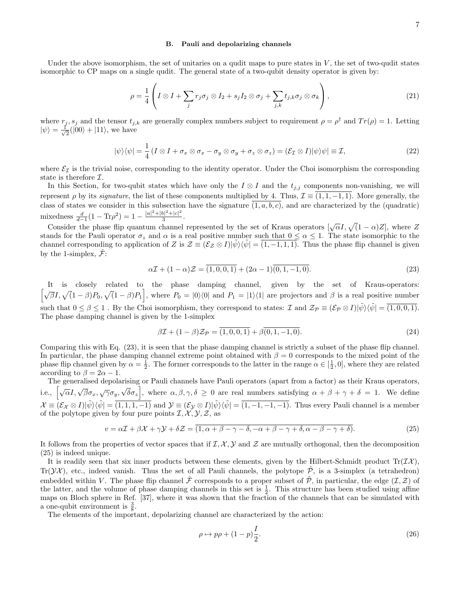#### B. Pauli and depolarizing channels

Under the above isomorphism, the set of unitaries on a qudit maps to pure states in  $V$ , the set of two-qudit states isomorphic to CP maps on a single qudit. The general state of a two-qubit density operator is given by:

$$
\rho = \frac{1}{4} \left( I \otimes I + \sum_{j} r_{j} \sigma_{j} \otimes I_{2} + s_{j} I_{2} \otimes \sigma_{j} + \sum_{j,k} t_{j,k} \sigma_{j} \otimes \sigma_{k} \right), \qquad (21)
$$

where  $r_j$ ,  $s_j$  and the tensor  $t_{j,k}$  are generally complex numbers subject to requirement  $\rho = \rho^{\dagger}$  and  $Tr(\rho) = 1$ . Letting  $|\psi\rangle = \frac{1}{\sqrt{2}}$  $\frac{1}{2}(|00\rangle + |11\rangle)$ , we have

$$
|\psi\rangle\langle\psi| = \frac{1}{4} \left(I \otimes I + \sigma_x \otimes \sigma_x - \sigma_y \otimes \sigma_y + \sigma_z \otimes \sigma_z\right) = (\mathcal{E}_{\mathcal{I}} \otimes I)|\psi\rangle\psi| \equiv \mathcal{I},\tag{22}
$$

where  $\mathcal{E}_I$  is the trivial noise, corresponding to the identity operator. Under the Choi isomorphism the corresponding state is therefore I.

In this Section, for two-qubit states which have only the  $I \otimes I$  and the  $t_{j,j}$  components non-vanishing, we will represent  $\rho$  by its *signature*, the list of these components multiplied by 4. Thus,  $\mathcal{I} \equiv (1, 1, -1, 1)$ . More generally, the class of states we consider in this subsection have the signature  $\overline{(1, a, b, c)}$ , and are characterized by the (quadratic) mixedness  $\frac{d}{d-1}(1 - \text{Tr}\rho^2) = 1 - \frac{|a|^2 + |b|^2 + |c|^2}{3}$  $\frac{2^{n} + |c|}{3}$ .

Consider the phase flip quantum channel represented by the set of Kraus operators  $[\sqrt{\alpha}I, \sqrt{(1-\alpha)Z}]$ , where Z stands for the Pauli operator  $\sigma_z$  and  $\alpha$  is a real positive number such that  $0 \leq \alpha \leq 1$ . The state isomorphic to the channel corresponding to application of Z is  $\mathcal{Z} \equiv (\mathcal{E}_{\mathcal{Z}} \otimes I)|\psi\rangle\langle\psi| = (1, -1, 1, 1)$ . Thus the phase flip channel is given by the 1-simplex,  $\mathcal{F}$ :

$$
\alpha \mathcal{I} + (1 - \alpha)\mathcal{Z} = \overline{(1, 0, 0, 1)} + (2\alpha - 1)\overline{(0, 1, -1, 0)}.
$$
\n(23)

It is closely related to the phase damping channel, given by the set of Kraus-operators:  $\left[\sqrt{\beta}I, \sqrt{(1-\beta)P_0}, \sqrt{(1-\beta)P_1}\right]$ , where  $P_0 = |0\rangle\langle 0|$  and  $P_1 = |1\rangle\langle 1|$  are projectors and  $\beta$  is a real positive number such that  $0 \le \beta \le 1$ . By the Choi isomorphism, they correspond to states:  $\mathcal{I}$  and  $\mathcal{Z}_{\mathcal{P}} \equiv (\mathcal{E}_{\mathcal{P}} \otimes I)|\psi\rangle\langle\psi\rangle = (1, 0, 0, 1)$ . The phase damping channel is given by the 1-simplex

$$
\beta \mathcal{I} + (1 - \beta) \mathcal{Z}_{\mathcal{P}} = \overline{(1, 0, 0, 1)} + \beta \overline{(0, 1, -1, 0)}.
$$
\n(24)

Comparing this with Eq. (23), it is seen that the phase damping channel is strictly a subset of the phase flip channel. In particular, the phase damping channel extreme point obtained with  $\beta = 0$  corresponds to the mixed point of the phase flip channel given by  $\alpha = \frac{1}{2}$ . The former corresponds to the latter in the range  $\alpha \in [\frac{1}{2}, 0]$ , where they are related according to  $\beta = 2\alpha - 1$ .

The generalised depolarising or Pauli channels have Pauli operators (apart from a factor) as their Kraus operators, i.e.,  $\left[\sqrt{\alpha}I, \sqrt{\beta}\sigma_x, \sqrt{\gamma}\sigma_y, \sqrt{\delta}\sigma_z\right]$ , where  $\alpha, \beta, \gamma, \delta \geq 0$  are real numbers satisfying  $\alpha + \beta + \gamma + \delta = 1$ . We define  $\mathcal{X} \equiv \overline{(\mathcal{E}_{\mathcal{X}} \otimes I)|\tilde{\psi}\rangle\langle\tilde{\psi}|} = \overline{(1, 1, 1, -1)}$  and  $\mathcal{Y} \equiv (\mathcal{E}_{\mathcal{Y}} \otimes I)|\tilde{\psi}\rangle\langle\tilde{\psi}| = \overline{(1, -1, -1, -1)}$ . Thus every Pauli channel is a member of the polytope given by four pure points  $\mathcal{I}, \mathcal{X}, \mathcal{Y}, \mathcal{Z}$ , as

$$
v = \alpha \mathcal{I} + \beta \mathcal{X} + \gamma \mathcal{Y} + \delta \mathcal{Z} = \overline{(1, \alpha + \beta - \gamma - \delta, -\alpha + \beta - \gamma + \delta, \alpha - \beta - \gamma + \delta)}.
$$
\n(25)

It follows from the properties of vector spaces that if  $\mathcal{I}, \mathcal{X}, \mathcal{Y}$  and  $\mathcal{Z}$  are mutually orthogonal, then the decomposition (25) is indeed unique.

It is readily seen that six inner products between these elements, given by the Hilbert-Schmidt product  $Tr(\mathcal{I}\mathcal{X})$ , Tr( $\mathcal{YX}$ ), etc., indeed vanish. Thus the set of all Pauli channels, the polytope  $\mathcal{P}$ , is a 3-simplex (a tetrahedron) embedded within V. The phase flip channel  $\hat{\mathcal{F}}$  corresponds to a proper subset of  $\hat{\mathcal{P}}$ , in particular, the edge  $(\mathcal{I}, \mathcal{Z})$  of the latter, and the volume of phase damping channels in this set is  $\frac{1}{2}$ . This structure has been studied using affine maps on Bloch sphere in Ref. [37], where it was shown that the fraction of the channels that can be simulated with a one-qubit environment is  $\frac{3}{8}$ .

The elements of the important, depolarizing channel are characterized by the action:

$$
\rho \mapsto p\rho + (1-p)\frac{I}{2}.\tag{26}
$$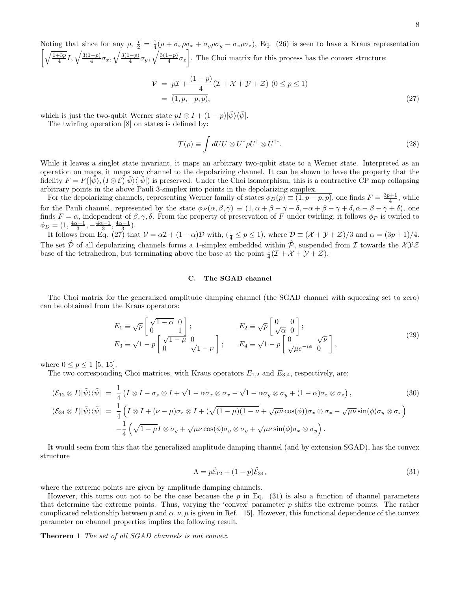Noting that since for any  $\rho$ ,  $\frac{I}{2} = \frac{1}{4}(\rho + \sigma_x \rho \sigma_x + \sigma_y \rho \sigma_y + \sigma_z \rho \sigma_z)$ , Eq. (26) is seen to have a Kraus representation  $\left[\sqrt{\frac{1+3p}{4}}I, \sqrt{\frac{3(1-p)}{4}}\sigma_x, \sqrt{\frac{3(1-p)}{4}}\sigma_y, \sqrt{\frac{3(1-p)}{4}}\sigma_z\right]$ . The Choi matrix for this process has the convex structure:

$$
\mathcal{V} = p\mathcal{I} + \frac{(1-p)}{4}(\mathcal{I} + \mathcal{X} + \mathcal{Y} + \mathcal{Z}) \ (0 \le p \le 1) \n= \overline{(1, p, -p, p)},
$$
\n(27)

which is just the two-qubit Werner state  $pI \otimes I + (1-p)|\tilde{\psi}\rangle\langle\tilde{\psi}|.$ 

The twirling operation [8] on states is defined by:

$$
\mathcal{T}(\rho) \equiv \int dU U \otimes U^* \rho U^{\dagger} \otimes U^{\dagger*}.
$$
 (28)

While it leaves a singlet state invariant, it maps an arbitrary two-qubit state to a Werner state. Interpreted as an operation on maps, it maps any channel to the depolarizing channel. It can be shown to have the property that the fidelity  $F = F(|\psi\rangle, (I \otimes \mathcal{E})|\psi\rangle\langle|\psi|)$  is preserved. Under the Choi isomorphism, this is a contractive CP map collapsing arbitrary points in the above Pauli 3-simplex into points in the depolarizing simplex.

For the depolarizing channels, representing Werner family of states  $\phi_D(p) \equiv (1, p - p, p)$ , one finds  $F = \frac{3p+1}{4}$ , while 4 for the Pauli channel, represented by the state  $\phi_P(\alpha,\beta,\gamma) \equiv (1,\alpha+\beta-\gamma-\delta,-\alpha+\beta-\gamma+\delta,\alpha-\beta-\gamma+\delta)$ , one finds  $F = \alpha$ , independent of  $\beta, \gamma, \delta$ . From the property of preservation of F under twirling, it follows  $\phi_P$  is twirled to  $\phi_D = (1, \frac{4\alpha-1}{3}, -\frac{4\alpha-1}{3}, \frac{4\alpha-1}{3}).$ 

It follows from Eq. (27) that  $V = \alpha \mathcal{I} + (1 - \alpha)\mathcal{D}$  with,  $(\frac{1}{4} \leq p \leq 1)$ , where  $\mathcal{D} \equiv (\mathcal{X} + \mathcal{Y} + \mathcal{Z})/3$  and  $\alpha = (3p + 1)/4$ . The set  $\hat{\mathcal{D}}$  of all depolarizing channels forms a 1-simplex embedded within  $\hat{\mathcal{P}}$ , suspended from  $\mathcal I$  towards the  $\mathcal{XYZ}$ base of the tetrahedron, but terminating above the base at the point  $\frac{1}{4}(\mathcal{I} + \mathcal{X} + \mathcal{Y} + \mathcal{Z})$ .

### C. The SGAD channel

The Choi matrix for the generalized amplitude damping channel (the SGAD channel with squeezing set to zero) can be obtained from the Kraus operators:

$$
E_1 \equiv \sqrt{p} \begin{bmatrix} \sqrt{1-\alpha} & 0 \\ 0 & 1 \end{bmatrix};
$$
  
\n
$$
E_2 \equiv \sqrt{p} \begin{bmatrix} 0 & 0 \\ \sqrt{\alpha} & 0 \end{bmatrix};
$$
  
\n
$$
E_3 \equiv \sqrt{1-p} \begin{bmatrix} \sqrt{1-\mu} & 0 \\ 0 & \sqrt{1-\nu} \end{bmatrix};
$$
  
\n
$$
E_4 \equiv \sqrt{1-p} \begin{bmatrix} 0 & \sqrt{\nu} \\ \sqrt{\mu}e^{-i\phi} & 0 \end{bmatrix},
$$
\n(29)

where  $0 \le p \le 1$  [5, 15].

The two corresponding Choi matrices, with Kraus operators  $E_{1,2}$  and  $E_{3,4}$ , respectively, are:

$$
(\mathcal{E}_{12} \otimes I)|\tilde{\psi}\rangle\langle\tilde{\psi}| = \frac{1}{4}\left(I \otimes I - \sigma_z \otimes I + \sqrt{1 - \alpha}\sigma_x \otimes \sigma_x - \sqrt{1 - \alpha}\sigma_y \otimes \sigma_y + (1 - \alpha)\sigma_z \otimes \sigma_z\right),\tag{30}
$$

$$
(\mathcal{E}_{34} \otimes I)|\tilde{\psi}\rangle\langle\tilde{\psi}| = \frac{1}{4}\left(I \otimes I + (\nu - \mu)\sigma_z \otimes I + (\sqrt{(1 - \mu)(1 - \nu)} + \sqrt{\mu\nu}\cos(\phi))\sigma_x \otimes \sigma_x - \sqrt{\mu\nu}\sin(\phi)\sigma_y \otimes \sigma_x\right)
$$

$$
-\frac{1}{4}\left(\sqrt{1 - \mu}I \otimes \sigma_y + \sqrt{\mu\nu}\cos(\phi)\sigma_y \otimes \sigma_y + \sqrt{\mu\nu}\sin(\phi)\sigma_x \otimes \sigma_y\right).
$$

It would seem from this that the generalized amplitude damping channel (and by extension SGAD), has the convex structure

$$
\Lambda = p\hat{\mathcal{E}}_{12} + (1-p)\hat{\mathcal{E}}_{34},\tag{31}
$$

where the extreme points are given by amplitude damping channels.

However, this turns out not to be the case because the  $p$  in Eq. (31) is also a function of channel parameters that determine the extreme points. Thus, varying the 'convex' parameter  $p$  shifts the extreme points. The rather complicated relationship between p and  $\alpha, \nu, \mu$  is given in Ref. [15]. However, this functional dependence of the convex parameter on channel properties implies the following result.

Theorem 1 The set of all SGAD channels is not convex.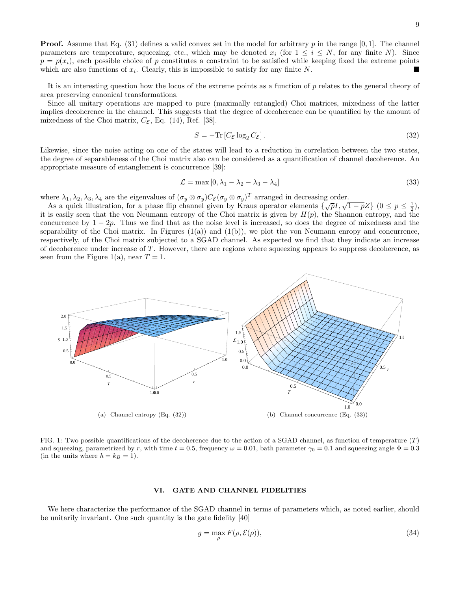**Proof.** Assume that Eq. (31) defines a valid convex set in the model for arbitrary p in the range  $[0, 1]$ . The channel parameters are temperature, squeezing, etc., which may be denoted  $x_i$  (for  $1 \leq i \leq N$ , for any finite N). Since  $p = p(x_i)$ , each possible choice of p constitutes a constraint to be satisfied while keeping fixed the extreme points which are also functions of  $x_i$ . Clearly, this is impossible to satisfy for any finite N.

It is an interesting question how the locus of the extreme points as a function of  $p$  relates to the general theory of area preserving canonical transformations.

Since all unitary operations are mapped to pure (maximally entangled) Choi matrices, mixedness of the latter implies decoherence in the channel. This suggests that the degree of decoherence can be quantified by the amount of mixedness of the Choi matrix,  $C_{\mathcal{E}}$ , Eq. (14), Ref. [38].

$$
S = -\text{Tr}\left[C_{\mathcal{E}}\log_2 C_{\mathcal{E}}\right].\tag{32}
$$

Likewise, since the noise acting on one of the states will lead to a reduction in correlation between the two states, the degree of separableness of the Choi matrix also can be considered as a quantification of channel decoherence. An appropriate measure of entanglement is concurrence [39]:

$$
\mathcal{L} = \max\left[0, \lambda_1 - \lambda_2 - \lambda_3 - \lambda_4\right] \tag{33}
$$

where  $\lambda_1, \lambda_2, \lambda_3, \lambda_4$  are the eigenvalues of  $(\sigma_y \otimes \sigma_y)C_{\mathcal{E}}(\sigma_y \otimes \sigma_y)^T$  arranged in decreasing order.

As a quick illustration, for a phase flip channel given by Kraus operator elements  $\{\sqrt{pI}, \sqrt{1-pZ}\}$   $(0 \le p \le \frac{1}{2}),$ it is easily seen that the von Neumann entropy of the Choi matrix is given by  $H(p)$ , the Shannon entropy, and the concurrence by  $1 - 2p$ . Thus we find that as the noise level is increased, so does the degree of mixedness and the separability of the Choi matrix. In Figures  $(1(a))$  and  $(1(b))$ , we plot the von Neumann enropy and concurrence, respectively, of the Choi matrix subjected to a SGAD channel. As expected we find that they indicate an increase of decoherence under increase of T. However, there are regions where squeezing appears to suppress decoherence, as seen from the Figure 1(a), near  $T = 1$ .



FIG. 1: Two possible quantifications of the decoherence due to the action of a SGAD channel, as function of temperature  $(T)$ and squeezing, parametrized by r, with time  $t = 0.5$ , frequency  $\omega = 0.01$ , bath parameter  $\gamma_0 = 0.1$  and squeezing angle  $\Phi = 0.3$ (in the units where  $\hbar = k_B = 1$ ).

#### VI. GATE AND CHANNEL FIDELITIES

We here characterize the performance of the SGAD channel in terms of parameters which, as noted earlier, should be unitarily invariant. One such quantity is the gate fidelity [40]

$$
g = \max_{\rho} F(\rho, \mathcal{E}(\rho)),\tag{34}
$$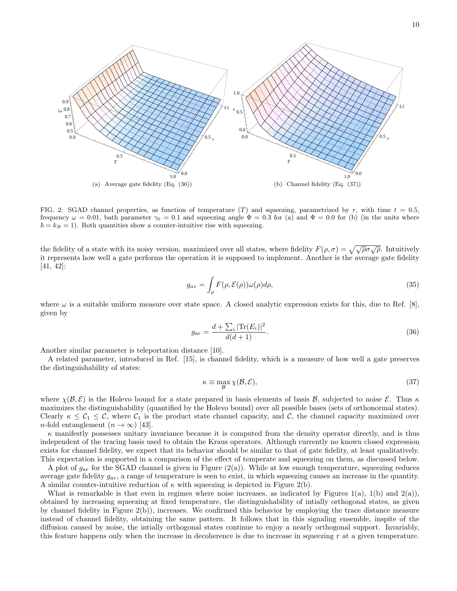

FIG. 2: SGAD channel properties, as function of temperature  $(T)$  and squeezing, parametrized by r, with time  $t = 0.5$ , frequency  $\omega = 0.01$ , bath parameter  $\gamma_0 = 0.1$  and squeezing angle  $\Phi = 0.3$  for (a) and  $\Phi = 0.0$  for (b) (in the units where  $\hbar = k_B = 1$ ). Both quantities show a counter-intuitive rise with squeezing.

the fidelity of a state with its noisy version, maximized over all states, where fidelity  $F(\rho, \sigma) = \sqrt{\sqrt{\rho} \sigma \sqrt{\rho}}$ . Intuitively it represents how well a gate performs the operation it is supposed to implement. Another is the average gate fidelity [41, 42]:

$$
g_{av} = \int_{\rho} F(\rho, \mathcal{E}(\rho)) \omega(\rho) d\rho,
$$
\n(35)

where  $\omega$  is a suitable uniform measure over state space. A closed analytic expression exists for this, due to Ref. [8], given by

$$
g_{\rm av} = \frac{d + \sum_{i} |\text{Tr}(E_i)|^2}{d(d+1)}.
$$
\n(36)

Another similar parameter is teleportation distance [10].

A related parameter, introduced in Ref. [15], is channel fidelity, which is a measure of how well a gate preserves the distinguishability of states:

$$
\kappa \equiv \max_{\mathcal{B}} \chi(\mathcal{B}, \mathcal{E}),\tag{37}
$$

where  $\chi(\mathcal{B}, \mathcal{E})$  is the Holevo bound for a state prepared in basis elements of basis  $\mathcal{B}$ , subjected to noise  $\mathcal{E}$ . Thus  $\kappa$ maximizes the distinguishability (quantified by the Holevo bound) over all possible bases (sets of orthonormal states). Clearly  $\kappa \leq C_1 \leq C$ , where  $C_1$  is the product state channel capacity, and C, the channel capacity maximized over n-fold entanglement  $(n \to \infty)$  [43].

 $\kappa$  manifestly possesses unitary invariance because it is computed from the density operator directly, and is thus independent of the tracing basis used to obtain the Kraus operators. Although currently no known closed expression exists for channel fidelity, we expect that its behavior should be similar to that of gate fidelity, at least qualitatively. This expectation is supported in a comparison of the effect of temperate and squeezing on them, as discussed below.

A plot of  $g_{\rm av}$  for the SGAD channel is given in Figure (2(a)). While at low enough temperature, squeezing reduces average gate fidelity  $g_{av}$ , a range of temperature is seen to exist, in which squeezing causes an increase in the quantity. A similar counter-intuitive reduction of  $\kappa$  with squeezing is depicted in Figure 2(b).

What is remarkable is that even in regimes where noise increases, as indicated by Figures 1(a), 1(b) and 2(a)), obtained by increasing squeezing at fixed temperature, the distinguishability of intially orthogonal states, as given by channel fidelity in Figure 2(b)), increases. We confirmed this behavior by employing the trace distance measure instead of channel fidelity, obtaining the same pattern. It follows that in this signaling ensemble, inspite of the diffusion caused by noise, the intially orthogonal states continue to enjoy a nearly orthogonal support. Invariably, this feature happens only when the increase in decoherence is due to increase in squeezing  $r$  at a given temperature.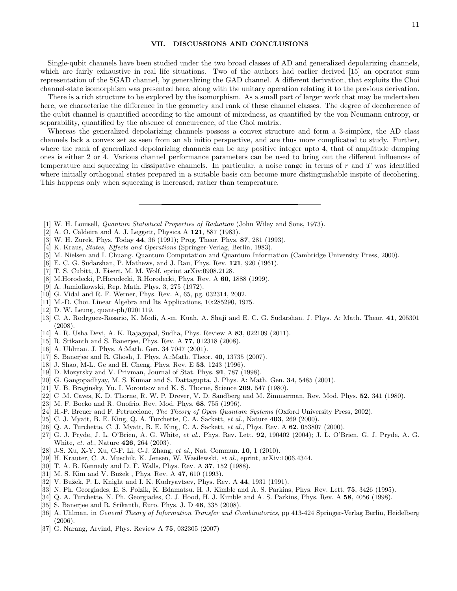### VII. DISCUSSIONS AND CONCLUSIONS

Single-qubit channels have been studied under the two broad classes of AD and generalized depolarizing channels, which are fairly exhaustive in real life situations. Two of the authors had earlier derived [15] an operator sum representation of the SGAD channel, by generalizing the GAD channel. A different derivation, that exploits the Choi channel-state isomorphism was presented here, along with the unitary operation relating it to the previous derivation.

There is a rich structure to be explored by the isomorphism. As a small part of larger work that may be undertaken here, we characterize the difference in the geometry and rank of these channel classes. The degree of decoherence of the qubit channel is quantified according to the amount of mixedness, as quantified by the von Neumann entropy, or separability, quantified by the absence of concurrence, of the Choi matrix.

Whereas the generalized depolarizing channels possess a convex structure and form a 3-simplex, the AD class channels lack a convex set as seen from an ab initio perspective, and are thus more complicated to study. Further, where the rank of generalized depolarizing channels can be any positive integer upto 4, that of amplitude damping ones is either 2 or 4. Various channel performance parameters can be used to bring out the different influences of temperature and squeezing in dissipative channels. In particular, a noise range in terms of  $r$  and  $T$  was identified where initially orthogonal states prepared in a suitable basis can become more distinguishable inspite of decohering. This happens only when squeezing is increased, rather than temperature.

- [1] W. H. Louisell, Quantum Statistical Properties of Radiation (John Wiley and Sons, 1973).
- [2] A. O. Caldeira and A. J. Leggett, Physica A 121, 587 (1983).
- [3] W. H. Zurek, Phys. Today 44, 36 (1991); Prog. Theor. Phys. 87, 281 (1993).
- [4] K. Kraus, States, Effects and Operations (Springer-Verlag, Berlin, 1983).
- [5] M. Nielsen and I. Chuang. Quantum Computation and Quantum Information (Cambridge University Press, 2000).
- [6] E. C. G. Sudarshan, P. Mathews, and J. Rau, Phys. Rev. 121, 920 (1961).
- [7] T. S. Cubitt, J. Eisert, M. M. Wolf, eprint arXiv:0908.2128.
- [8] M.Horodecki, P.Horodecki, R.Horodecki, Phys. Rev. A 60, 1888 (1999).
- [9] A. Jamiolkowski, Rep. Math. Phys. 3, 275 (1972).
- [10] G. Vidal and R. F. Werner, Phys. Rev. A, 65, pg. 032314, 2002.
- [11] M.-D. Choi. Linear Algebra and Its Applications, 10:285290, 1975.
- [12] D. W. Leung, quant-ph/0201119.
- [13] C. A. Rodrguez-Rosario, K. Modi, A.-m. Kuah, A. Shaji and E. C. G. Sudarshan. J. Phys. A: Math. Theor. 41, 205301 (2008).
- [14] A. R. Usha Devi, A. K. Rajagopal, Sudha, Phys. Review A 83, 022109 (2011).
- [15] R. Srikanth and S. Banerjee, Phys. Rev. A 77, 012318 (2008).
- [16] A. Uhlman. J. Phys. A:Math. Gen. 34 7047 (2001).
- [17] S. Banerjee and R. Ghosh, J. Phys. A.:Math. Theor. 40, 13735 (2007).
- [18] J. Shao, M-L. Ge and H. Cheng, Phys. Rev. E 53, 1243 (1996).
- [19] D. Mozyrsky and V. Privman, Journal of Stat. Phys. 91, 787 (1998).
- [20] G. Gangopadhyay, M. S. Kumar and S. Dattagupta, J. Phys. A: Math. Gen. 34, 5485 (2001).
- [21] V. B. Braginsky, Yu. I. Vorontsov and K. S. Thorne, Science 209, 547 (1980).
- [22] C .M. Caves, K. D. Thorne, R. W. P. Drever, V. D. Sandberg and M. Zimmerman, Rev. Mod. Phys. 52, 341 (1980).
- [23] M. F. Bocko and R. Onofrio, Rev. Mod. Phys. 68, 755 (1996).
- [24] H.-P. Breuer and F. Petruccione, *The Theory of Open Quantum Systems* (Oxford University Press, 2002).
- [25] C. J. Myatt, B. E. King, Q. A. Turchette, C. A. Sackett, et al., Nature 403, 269 (2000).
- [26] Q. A. Turchette, C. J. Myatt, B. E. King, C. A. Sackett, et al., Phys. Rev. A 62, 053807 (2000).
- [27] G. J. Pryde, J. L. O'Brien, A. G. White, et al., Phys. Rev. Lett. 92, 190402 (2004); J. L. O'Brien, G. J. Pryde, A. G. White, et. al., Nature 426, 264 (2003).
- [28] J-S. Xu, X-Y. Xu, C-F. Li, C-J. Zhang, et al., Nat. Commun. **10**, 1 (2010).
- [29] H. Krauter, C. A. Muschik, K. Jensen, W. Wasilewski, et al., eprint, arXiv:1006.4344.
- [30] T. A. B. Kennedy and D. F. Walls, Phys. Rev. A 37, 152 (1988).
- [31] M. S. Kim and V. Bužek, Phys. Rev. A 47, 610 (1993).
- [32] V. Bužek, P. L. Knight and I. K. Kudryavtsev, Phys. Rev. A 44, 1931 (1991).
- [33] N. Ph. Georgiades, E. S. Polzik, K. Edamatsu. H. J. Kimble and A. S. Parkins, Phys. Rev. Lett. 75, 3426 (1995).
- [34] Q. A. Turchette, N. Ph. Georgiades, C. J. Hood, H. J. Kimble and A. S. Parkins, Phys. Rev. A 58, 4056 (1998).
- [35] S. Banerjee and R. Srikanth, Euro. Phys. J. D 46, 335 (2008).
- [36] A. Uhlman, in General Theory of Information Transfer and Combinatorics, pp 413-424 Springer-Verlag Berlin, Heidelberg (2006).
- [37] G. Narang, Arvind, Phys. Review A 75, 032305 (2007)